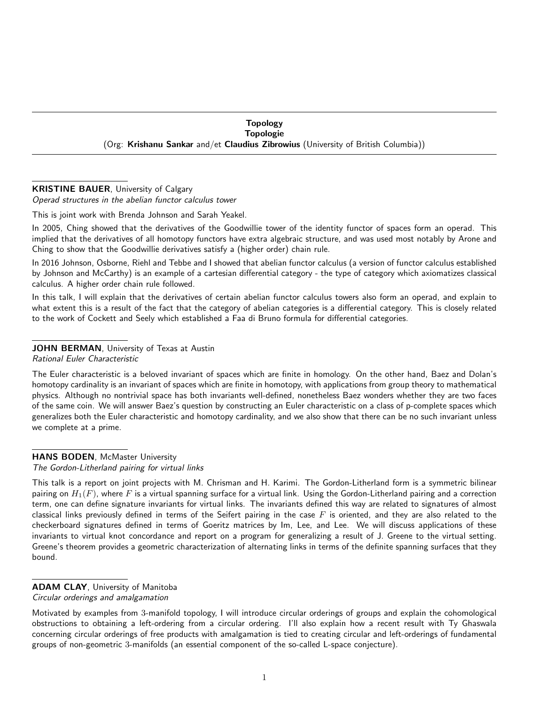Topology Topologie (Org: Krishanu Sankar and/et Claudius Zibrowius (University of British Columbia))

## KRISTINE BAUER, University of Calgary

Operad structures in the abelian functor calculus tower

This is joint work with Brenda Johnson and Sarah Yeakel.

In 2005, Ching showed that the derivatives of the Goodwillie tower of the identity functor of spaces form an operad. This implied that the derivatives of all homotopy functors have extra algebraic structure, and was used most notably by Arone and Ching to show that the Goodwillie derivatives satisfy a (higher order) chain rule.

In 2016 Johnson, Osborne, Riehl and Tebbe and I showed that abelian functor calculus (a version of functor calculus established by Johnson and McCarthy) is an example of a cartesian differential category - the type of category which axiomatizes classical calculus. A higher order chain rule followed.

In this talk, I will explain that the derivatives of certain abelian functor calculus towers also form an operad, and explain to what extent this is a result of the fact that the category of abelian categories is a differential category. This is closely related to the work of Cockett and Seely which established a Faa di Bruno formula for differential categories.

## JOHN BERMAN, University of Texas at Austin

Rational Euler Characteristic

The Euler characteristic is a beloved invariant of spaces which are finite in homology. On the other hand, Baez and Dolan's homotopy cardinality is an invariant of spaces which are finite in homotopy, with applications from group theory to mathematical physics. Although no nontrivial space has both invariants well-defined, nonetheless Baez wonders whether they are two faces of the same coin. We will answer Baez's question by constructing an Euler characteristic on a class of p-complete spaces which generalizes both the Euler characteristic and homotopy cardinality, and we also show that there can be no such invariant unless we complete at a prime.

## HANS BODEN, McMaster University

The Gordon-Litherland pairing for virtual links

This talk is a report on joint projects with M. Chrisman and H. Karimi. The Gordon-Litherland form is a symmetric bilinear pairing on  $H_1(F)$ , where F is a virtual spanning surface for a virtual link. Using the Gordon-Litherland pairing and a correction term, one can define signature invariants for virtual links. The invariants defined this way are related to signatures of almost classical links previously defined in terms of the Seifert pairing in the case  $F$  is oriented, and they are also related to the checkerboard signatures defined in terms of Goeritz matrices by Im, Lee, and Lee. We will discuss applications of these invariants to virtual knot concordance and report on a program for generalizing a result of J. Greene to the virtual setting. Greene's theorem provides a geometric characterization of alternating links in terms of the definite spanning surfaces that they bound.

### ADAM CLAY, University of Manitoba Circular orderings and amalgamation

Motivated by examples from 3-manifold topology, I will introduce circular orderings of groups and explain the cohomological obstructions to obtaining a left-ordering from a circular ordering. I'll also explain how a recent result with Ty Ghaswala concerning circular orderings of free products with amalgamation is tied to creating circular and left-orderings of fundamental groups of non-geometric 3-manifolds (an essential component of the so-called L-space conjecture).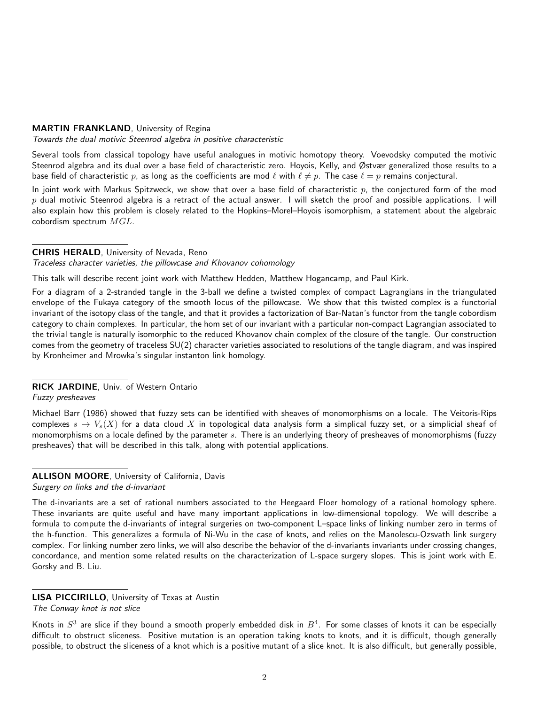### MARTIN FRANKLAND, University of Regina

Towards the dual motivic Steenrod algebra in positive characteristic

Several tools from classical topology have useful analogues in motivic homotopy theory. Voevodsky computed the motivic Steenrod algebra and its dual over a base field of characteristic zero. Hoyois, Kelly, and Østvær generalized those results to a base field of characteristic p, as long as the coefficients are mod  $\ell$  with  $\ell \neq p$ . The case  $\ell = p$  remains conjectural.

In joint work with Markus Spitzweck, we show that over a base field of characteristic  $p$ , the conjectured form of the mod  $p$  dual motivic Steenrod algebra is a retract of the actual answer. I will sketch the proof and possible applications. I will also explain how this problem is closely related to the Hopkins–Morel–Hoyois isomorphism, a statement about the algebraic cobordism spectrum MGL.

### CHRIS HERALD, University of Nevada, Reno

Traceless character varieties, the pillowcase and Khovanov cohomology

This talk will describe recent joint work with Matthew Hedden, Matthew Hogancamp, and Paul Kirk.

For a diagram of a 2-stranded tangle in the 3-ball we define a twisted complex of compact Lagrangians in the triangulated envelope of the Fukaya category of the smooth locus of the pillowcase. We show that this twisted complex is a functorial invariant of the isotopy class of the tangle, and that it provides a factorization of Bar-Natan's functor from the tangle cobordism category to chain complexes. In particular, the hom set of our invariant with a particular non-compact Lagrangian associated to the trivial tangle is naturally isomorphic to the reduced Khovanov chain complex of the closure of the tangle. Our construction comes from the geometry of traceless SU(2) character varieties associated to resolutions of the tangle diagram, and was inspired by Kronheimer and Mrowka's singular instanton link homology.

## RICK JARDINE, Univ. of Western Ontario

Fuzzy presheaves

Michael Barr (1986) showed that fuzzy sets can be identified with sheaves of monomorphisms on a locale. The Veitoris-Rips complexes  $s \mapsto V_s(X)$  for a data cloud X in topological data analysis form a simplical fuzzy set, or a simplicial sheaf of monomorphisms on a locale defined by the parameter s. There is an underlying theory of presheaves of monomorphisms (fuzzy presheaves) that will be described in this talk, along with potential applications.

## ALLISON MOORE, University of California, Davis

Surgery on links and the d-invariant

The d-invariants are a set of rational numbers associated to the Heegaard Floer homology of a rational homology sphere. These invariants are quite useful and have many important applications in low-dimensional topology. We will describe a formula to compute the d-invariants of integral surgeries on two-component L–space links of linking number zero in terms of the h-function. This generalizes a formula of Ni-Wu in the case of knots, and relies on the Manolescu-Ozsvath link surgery complex. For linking number zero links, we will also describe the behavior of the d-invariants invariants under crossing changes, concordance, and mention some related results on the characterization of L-space surgery slopes. This is joint work with E. Gorsky and B. Liu.

## LISA PICCIRILLO, University of Texas at Austin

Knots in  $S^3$  are slice if they bound a smooth properly embedded disk in  $B^4$ . For some classes of knots it can be especially difficult to obstruct sliceness. Positive mutation is an operation taking knots to knots, and it is difficult, though generally possible, to obstruct the sliceness of a knot which is a positive mutant of a slice knot. It is also difficult, but generally possible,

The Conway knot is not slice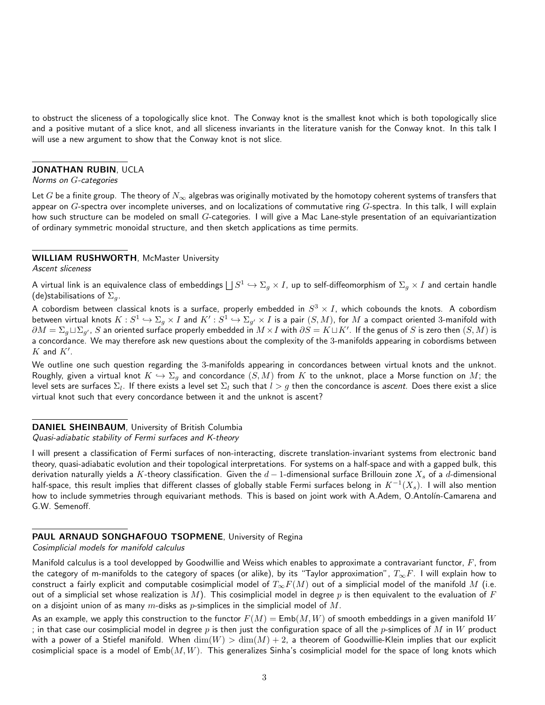to obstruct the sliceness of a topologically slice knot. The Conway knot is the smallest knot which is both topologically slice and a positive mutant of a slice knot, and all sliceness invariants in the literature vanish for the Conway knot. In this talk I will use a new argument to show that the Conway knot is not slice.

#### JONATHAN RUBIN, UCLA

#### Norms on G-categories

Let G be a finite group. The theory of  $N_\infty$  algebras was originally motivated by the homotopy coherent systems of transfers that appear on  $G$ -spectra over incomplete universes, and on localizations of commutative ring  $G$ -spectra. In this talk, I will explain how such structure can be modeled on small  $G$ -categories. I will give a Mac Lane-style presentation of an equivariantization of ordinary symmetric monoidal structure, and then sketch applications as time permits.

#### WILLIAM RUSHWORTH, McMaster University

Ascent sliceness

A virtual link is an equivalence class of embeddings  $\bigsqcup S^1\hookrightarrow \Sigma_g\times I$ , up to self-diffeomorphism of  $\Sigma_g\times I$  and certain handle (de)stabilisations of  $\Sigma_a$ .

A cobordism between classical knots is a surface, properly embedded in  $S^3\times I$ , which cobounds the knots. A cobordism between virtual knots  $K:S^1\hookrightarrow \Sigma_g\times I$  and  $K':S^1\hookrightarrow \Sigma_{g'}\times I$  is a pair  $(S,M).$  for  $M$  a compact oriented 3-manifold with  $\partial M=\Sigma_g\sqcup\Sigma_{g'}$ ,  $S$  an oriented surface properly embedded in  $M\times I$  with  $\partial S=K\sqcup K'$ . If the genus of  $S$  is zero then  $(S,M)$  is a concordance. We may therefore ask new questions about the complexity of the 3-manifolds appearing in cobordisms between  $K$  and  $K'$ .

We outline one such question regarding the 3-manifolds appearing in concordances between virtual knots and the unknot. Roughly, given a virtual knot  $K \hookrightarrow \Sigma_g$  and concordance  $(S, M)$  from  $K$  to the unknot, place a Morse function on  $M$ ; the level sets are surfaces  $\Sigma_l.$  If there exists a level set  $\Sigma_l$  such that  $l>g$  then the concordance is *ascent*. Does there exist a slice virtual knot such that every concordance between it and the unknot is ascent?

# DANIEL SHEINBAUM, University of British Columbia

#### Quasi-adiabatic stability of Fermi surfaces and K-theory

I will present a classification of Fermi surfaces of non-interacting, discrete translation-invariant systems from electronic band theory, quasi-adiabatic evolution and their topological interpretations. For systems on a half-space and with a gapped bulk, this derivation naturally yields a K-theory classification. Given the  $d-1$ -dimensional surface Brillouin zone  $X_s$  of a  $d$ -dimensional half-space, this result implies that different classes of globally stable Fermi surfaces belong in  $K^{-1}(X_s)$ . I will also mention how to include symmetries through equivariant methods. This is based on joint work with A.Adem, O.Antolín-Camarena and G.W. Semenoff.

#### PAUL ARNAUD SONGHAFOUO TSOPMENE, University of Regina

Cosimplicial models for manifold calculus

Manifold calculus is a tool developped by Goodwillie and Weiss which enables to approximate a contravariant functor,  $F$ , from the category of m-manifolds to the category of spaces (or alike), by its "Taylor approximation",  $T_\infty F$ . I will explain how to construct a fairly explicit and computable cosimplicial model of  $T_{\infty}F(M)$  out of a simplicial model of the manifold M (i.e. out of a simplicial set whose realization is M). This cosimplicial model in degree p is then equivalent to the evaluation of F on a disjoint union of as many m-disks as p-simplices in the simplicial model of M.

As an example, we apply this construction to the functor  $F(M) = \text{Emb}(M, W)$  of smooth embeddings in a given manifold W ; in that case our cosimplicial model in degree p is then just the configuration space of all the p-simplices of M in W product with a power of a Stiefel manifold. When  $\dim(W) > \dim(M) + 2$ , a theorem of Goodwillie-Klein implies that our explicit cosimplicial space is a model of  $Emb(M, W)$ . This generalizes Sinha's cosimplicial model for the space of long knots which